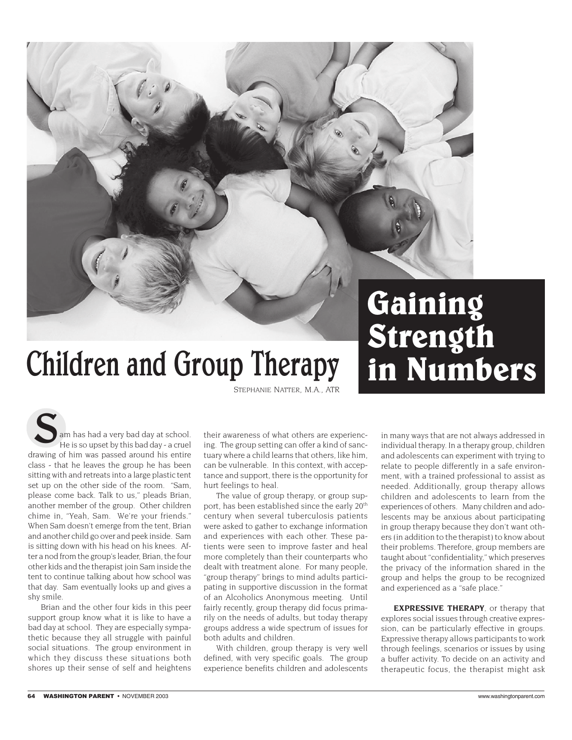

## Children and Group Therapy

*STEPHANIE NATTER, M.A., ATR*

drawing of him was passed around his entire class - that he leaves the group he has been sitting with and retreats into a large plastic tent set up on the other side of the room. "Sam, please come back. Talk to us," pleads Brian, another member of the group. Other children chime in, "Yeah, Sam. We're your friends." When Sam doesn't emerge from the tent, Brian and another child go over and peek inside. Sam is sitting down with his head on his knees. After a nod from the group's leader, Brian, the four other kids and the therapist join Sam inside the tent to continue talking about how school was that day. Sam eventually looks up and gives a shy smile. am has had a very bad day at school. He is so upset by this bad day - a cruel

Brian and the other four kids in this peer support group know what it is like to have a bad day at school. They are especially sympathetic because they all struggle with painful social situations. The group environment in which they discuss these situations both shores up their sense of self and heightens

their awareness of what others are experiencing. The group setting can offer a kind of sanctuary where a child learns that others, like him, can be vulnerable. In this context, with acceptance and support, there is the opportunity for hurt feelings to heal.

The value of group therapy, or group support, has been established since the early 20th century when several tuberculosis patients were asked to gather to exchange information and experiences with each other. These patients were seen to improve faster and heal more completely than their counterparts who dealt with treatment alone. For many people, "group therapy" brings to mind adults participating in supportive discussion in the format of an Alcoholics Anonymous meeting. Until fairly recently, group therapy did focus primarily on the needs of adults, but today therapy groups address a wide spectrum of issues for both adults and children.

With children, group therapy is very well defined, with very specific goals. The group experience benefits children and adolescents in many ways that are not always addressed in individual therapy. In a therapy group, children and adolescents can experiment with trying to relate to people differently in a safe environment, with a trained professional to assist as needed. Additionally, group therapy allows children and adolescents to learn from the experiences of others. Many children and adolescents may be anxious about participating in group therapy because they don't want others (in addition to the therapist) to know about their problems. Therefore, group members are taught about "confidentiality," which preserves the privacy of the information shared in the group and helps the group to be recognized and experienced as a "safe place."

**in Numbers**

**EXPRESSIVE THERAPY**, or therapy that explores social issues through creative expression, can be particularly effective in groups. Expressive therapy allows participants to work through feelings, scenarios or issues by using a buffer activity. To decide on an activity and therapeutic focus, the therapist might ask